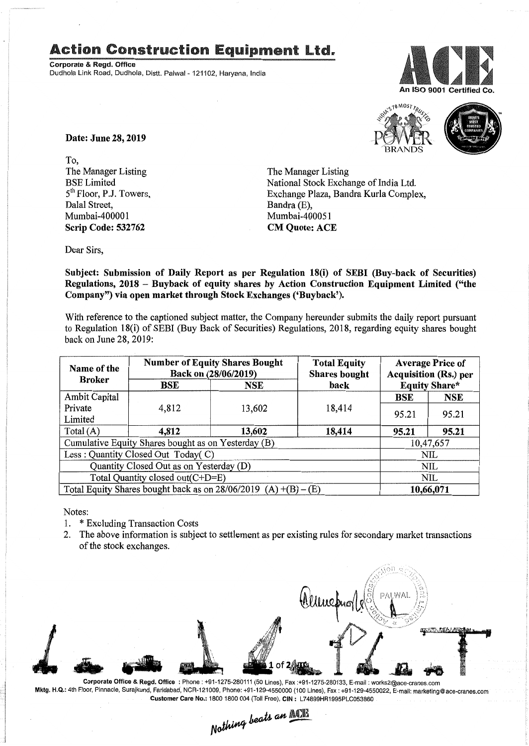## Action Construction Equipment Ltd..

Corporate & Regd. Office Dudhola Link Road, Dudhola, Distt. Palwal- 121102, Haryana, India





Date: June 28, 2019

To, The Manager Listing BSE Limited 5<sup>th</sup> Floor, P.J. Towers, Dalal Street, Mumbai-400001 Scrip Code: 532762

The Manager Listing National Stock Exchange of India Ltd. Exchange Plaza, Bandra Kurla Complex, Bandra (E), Mumbai-400051 CM Quote: ACE

Dear Sirs,

Subject: Submission of Daily Report as per Regulation 18(i) of SEBI (Buy-back of Securities) Regulations, 2018 - Buyback of equity shares by Action Construction Equipment Limited ("the Company") via open market through Stock Exchanges ('Buyback').

With reference to the captioned subject matter, the Company hereunder submits the daily report pursuant to Regulation 18(i) of SEBI (Buy Back of Securities) Regulations, 2018, regarding equity shares bought back on June 28, 2019:

| Name of the<br><b>Broker</b>                                      | <b>Number of Equity Shares Bought</b><br>Back on (28/06/2019) |            | <b>Total Equity</b><br><b>Shares bought</b> | <b>Average Price of</b><br><b>Acquisition (Rs.) per</b> |            |  |
|-------------------------------------------------------------------|---------------------------------------------------------------|------------|---------------------------------------------|---------------------------------------------------------|------------|--|
|                                                                   | BSE                                                           | <b>NSE</b> | back                                        | <b>Equity Share*</b>                                    |            |  |
| Ambit Capital                                                     |                                                               |            |                                             | <b>BSE</b>                                              | <b>NSE</b> |  |
| Private<br>Limited                                                | 4,812                                                         | 13,602     | 18,414                                      | 95.21                                                   | 95.21      |  |
| Total $(A)$                                                       | 4,812                                                         | 13,602     | 18,414                                      | 95.21                                                   | 95.21      |  |
| Cumulative Equity Shares bought as on Yesterday (B)               |                                                               |            |                                             |                                                         | 10,47,657  |  |
| Less: Quantity Closed Out Today(C)                                |                                                               |            |                                             | NIL                                                     |            |  |
| Quantity Closed Out as on Yesterday (D)                           |                                                               |            |                                             |                                                         | NIL        |  |
| Total Quantity closed out(C+D=E)                                  |                                                               |            |                                             |                                                         | <b>NIL</b> |  |
| Total Equity Shares bought back as on $28/06/2019$ (A) +(B) – (E) |                                                               |            |                                             |                                                         | 10,66,071  |  |

Notes:

- 1. \* Excluding Transaction Costs
- 2. The above information is subject to settlement as per existing rules for secondary market transactions of the stock exchanges.



Corporate Office & Regd. Office: Phone: +91-1275-280111 (50 Lines), Fax:+91-1275-280133, E-mail: works2@ace-cranes.com Mktg. H.Q.: 4th Floor, Pinnacle, Surajkund, Faridabad, NCR-121009, Phone: +91-129-4550000 (100 Lines), Fax: +91-129-4550022, E-mail: marketing@ace-cranes.com

Customer Care No.: 1800 1800 004 (Toll Free), CIN: L74899HR1995PLC053860<br>Nathing beats an **ACT**